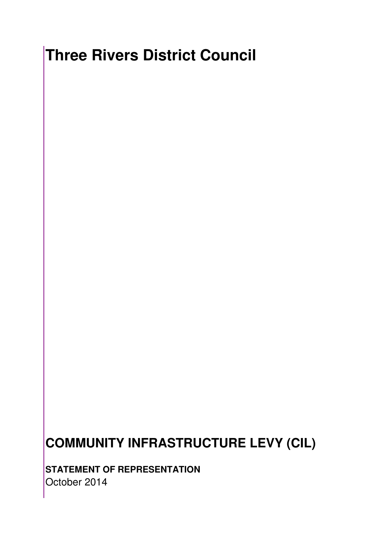## **Three Rivers District Council**

## **COMMUNITY INFRASTRUCTURE LEVY (CIL)**

**STATEMENT OF REPRESENTATION**  October 2014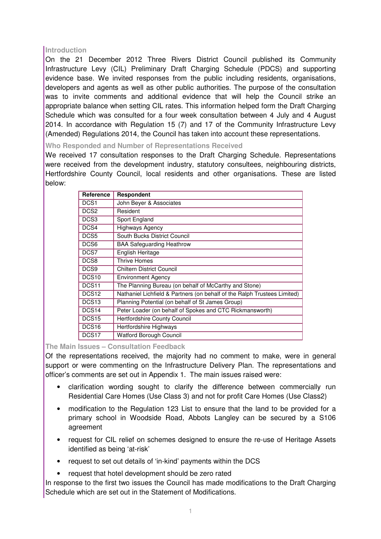## **Introduction**

On the 21 December 2012 Three Rivers District Council published its Community Infrastructure Levy (CIL) Preliminary Draft Charging Schedule (PDCS) and supporting evidence base. We invited responses from the public including residents, organisations, developers and agents as well as other public authorities. The purpose of the consultation was to invite comments and additional evidence that will help the Council strike an appropriate balance when setting CIL rates. This information helped form the Draft Charging Schedule which was consulted for a four week consultation between 4 July and 4 August 2014. In accordance with Regulation 15 (7) and 17 of the Community Infrastructure Levy (Amended) Regulations 2014, the Council has taken into account these representations.

**Who Responded and Number of Representations Received**

We received 17 consultation responses to the Draft Charging Schedule. Representations were received from the development industry, statutory consultees, neighbouring districts, Hertfordshire County Council, local residents and other organisations. These are listed below:

| Reference         | Respondent                                                               |
|-------------------|--------------------------------------------------------------------------|
| DCS <sub>1</sub>  | John Beyer & Associates                                                  |
| DCS <sub>2</sub>  | Resident                                                                 |
| DCS <sub>3</sub>  | Sport England                                                            |
| DCS4              | <b>Highways Agency</b>                                                   |
| DCS5              | South Bucks District Council                                             |
| DCS <sub>6</sub>  | <b>BAA Safeguarding Heathrow</b>                                         |
| DCS7              | English Heritage                                                         |
| DCS8              | <b>Thrive Homes</b>                                                      |
| DCS <sub>9</sub>  | <b>Chiltern District Council</b>                                         |
| DCS <sub>10</sub> | <b>Environment Agency</b>                                                |
| DCS <sub>11</sub> | The Planning Bureau (on behalf of McCarthy and Stone)                    |
| DCS <sub>12</sub> | Nathaniel Lichfield & Partners (on behalf of the Ralph Trustees Limited) |
| DCS <sub>13</sub> | Planning Potential (on behalf of St James Group)                         |
| DCS <sub>14</sub> | Peter Loader (on behalf of Spokes and CTC Rickmansworth)                 |
| DCS <sub>15</sub> | Hertfordshire County Council                                             |
| DCS <sub>16</sub> | Hertfordshire Highways                                                   |
| DCS <sub>17</sub> | Watford Borough Council                                                  |

**The Main Issues – Consultation Feedback** 

Of the representations received, the majority had no comment to make, were in general support or were commenting on the Infrastructure Delivery Plan. The representations and officer's comments are set out in Appendix 1. The main issues raised were:

- clarification wording sought to clarify the difference between commercially run Residential Care Homes (Use Class 3) and not for profit Care Homes (Use Class2)
- modification to the Regulation 123 List to ensure that the land to be provided for a primary school in Woodside Road, Abbots Langley can be secured by a S106 agreement
- request for CIL relief on schemes designed to ensure the re-use of Heritage Assets identified as being 'at-risk'
- request to set out details of 'in-kind' payments within the DCS
- request that hotel development should be zero rated

In response to the first two issues the Council has made modifications to the Draft Charging Schedule which are set out in the Statement of Modifications.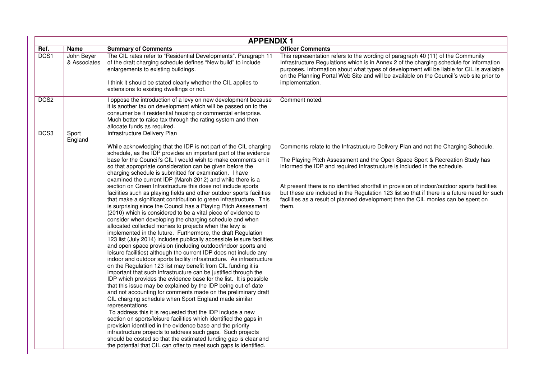|                  | <b>APPENDIX 1</b>          |                                                                                                                                                                                                                                                                                                                                                                                                                                                                                                                                                                                                                                                                                                                                                                                                                                                                                                                                                                                                                                                                                                                                                                                                                                                                                                                                                                                                                                                                                                                                                                                                                                                                                                                                                                                                                                                                                                                                                                                                                                                                                                   |                                                                                                                                                                                                                                                                                                                                                                                                                                                                                                                                               |  |
|------------------|----------------------------|---------------------------------------------------------------------------------------------------------------------------------------------------------------------------------------------------------------------------------------------------------------------------------------------------------------------------------------------------------------------------------------------------------------------------------------------------------------------------------------------------------------------------------------------------------------------------------------------------------------------------------------------------------------------------------------------------------------------------------------------------------------------------------------------------------------------------------------------------------------------------------------------------------------------------------------------------------------------------------------------------------------------------------------------------------------------------------------------------------------------------------------------------------------------------------------------------------------------------------------------------------------------------------------------------------------------------------------------------------------------------------------------------------------------------------------------------------------------------------------------------------------------------------------------------------------------------------------------------------------------------------------------------------------------------------------------------------------------------------------------------------------------------------------------------------------------------------------------------------------------------------------------------------------------------------------------------------------------------------------------------------------------------------------------------------------------------------------------------|-----------------------------------------------------------------------------------------------------------------------------------------------------------------------------------------------------------------------------------------------------------------------------------------------------------------------------------------------------------------------------------------------------------------------------------------------------------------------------------------------------------------------------------------------|--|
| Ref.             | <b>Name</b>                | <b>Summary of Comments</b>                                                                                                                                                                                                                                                                                                                                                                                                                                                                                                                                                                                                                                                                                                                                                                                                                                                                                                                                                                                                                                                                                                                                                                                                                                                                                                                                                                                                                                                                                                                                                                                                                                                                                                                                                                                                                                                                                                                                                                                                                                                                        | <b>Officer Comments</b>                                                                                                                                                                                                                                                                                                                                                                                                                                                                                                                       |  |
| DCS1             | John Beyer<br>& Associates | The CIL rates refer to "Residential Developments". Paragraph 11<br>of the draft charging schedule defines "New build" to include<br>enlargements to existing buildings.<br>I think it should be stated clearly whether the CIL applies to<br>extensions to existing dwellings or not.                                                                                                                                                                                                                                                                                                                                                                                                                                                                                                                                                                                                                                                                                                                                                                                                                                                                                                                                                                                                                                                                                                                                                                                                                                                                                                                                                                                                                                                                                                                                                                                                                                                                                                                                                                                                             | This representation refers to the wording of paragraph 40 (11) of the Community<br>Infrastructure Regulations which is in Annex 2 of the charging schedule for information<br>purposes. Information about what types of development will be liable for CIL is available<br>on the Planning Portal Web Site and will be available on the Council's web site prior to<br>implementation.                                                                                                                                                        |  |
| DCS <sub>2</sub> |                            | I oppose the introduction of a levy on new development because<br>it is another tax on development which will be passed on to the<br>consumer be it residential housing or commercial enterprise.<br>Much better to raise tax through the rating system and then<br>allocate funds as required.                                                                                                                                                                                                                                                                                                                                                                                                                                                                                                                                                                                                                                                                                                                                                                                                                                                                                                                                                                                                                                                                                                                                                                                                                                                                                                                                                                                                                                                                                                                                                                                                                                                                                                                                                                                                   | Comment noted.                                                                                                                                                                                                                                                                                                                                                                                                                                                                                                                                |  |
| DCS3             | Sport<br>England           | <b>Infrastructure Delivery Plan</b><br>While acknowledging that the IDP is not part of the CIL charging<br>schedule, as the IDP provides an important part of the evidence<br>base for the Council's CIL I would wish to make comments on it<br>so that appropriate consideration can be given before the<br>charging schedule is submitted for examination. I have<br>examined the current IDP (March 2012) and while there is a<br>section on Green Infrastructure this does not include sports<br>facilities such as playing fields and other outdoor sports facilities<br>that make a significant contribution to green infrastructure. This<br>is surprising since the Council has a Playing Pitch Assessment<br>(2010) which is considered to be a vital piece of evidence to<br>consider when developing the charging schedule and when<br>allocated collected monies to projects when the levy is<br>implemented in the future. Furthermore, the draft Regulation<br>123 list (July 2014) includes publically accessible leisure facilities<br>and open space provision (including outdoor/indoor sports and<br>leisure facilities) although the current IDP does not include any<br>indoor and outdoor sports facility infrastructure. As infrastructure<br>on the Regulation 123 list may benefit from CIL funding it is<br>important that such infrastructure can be justified through the<br>IDP which provides the evidence base for the list. It is possible<br>that this issue may be explained by the IDP being out-of-date<br>and not accounting for comments made on the preliminary draft<br>CIL charging schedule when Sport England made similar<br>representations.<br>To address this it is requested that the IDP include a new<br>section on sports/leisure facilities which identified the gaps in<br>provision identified in the evidence base and the priority<br>infrastructure projects to address such gaps. Such projects<br>should be costed so that the estimated funding gap is clear and<br>the potential that CIL can offer to meet such gaps is identified. | Comments relate to the Infrastructure Delivery Plan and not the Charging Schedule.<br>The Playing Pitch Assessment and the Open Space Sport & Recreation Study has<br>informed the IDP and required infrastructure is included in the schedule.<br>At present there is no identified shortfall in provision of indoor/outdoor sports facilities<br>but these are included in the Regulation 123 list so that if there is a future need for such<br>facilities as a result of planned development then the CIL monies can be spent on<br>them. |  |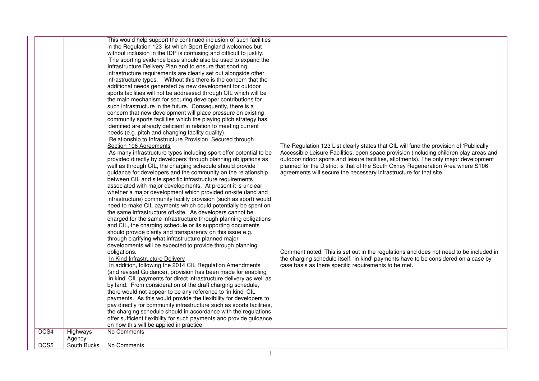|      |                       | This would help support the continued inclusion of such facilities<br>in the Regulation 123 list which Sport England welcomes but<br>without inclusion in the IDP is confusing and difficult to justify.<br>The sporting evidence base should also be used to expand the<br>Infrastructure Delivery Plan and to ensure that sporting<br>infrastructure requirements are clearly set out alongside other<br>infrastructure types.  Without this there is the concern that the<br>additional needs generated by new development for outdoor<br>sports facilities will not be addressed through CIL which will be<br>the main mechanism for securing developer contributions for<br>such infrastructure in the future. Consequently, there is a<br>concern that new development will place pressure on existing<br>community sports facilities which the playing pitch strategy has<br>identified are already deficient in relation to meeting current<br>needs (e.g. pitch and changing facility quality).<br>Relationship to Infrastructure Provision Secured through<br>Section 106 Agreements<br>As many infrastructure types including sport offer potential to be<br>provided directly by developers through planning obligations as<br>well as through CIL, the charging schedule should provide<br>guidance for developers and the community on the relationship<br>between CIL and site specific infrastructure requirements<br>associated with major developments. At present it is unclear<br>whether a major development which provided on-site (land and<br>infrastructure) community facility provision (such as sport) would<br>need to make CIL payments which could potentially be spent on<br>the same infrastructure off-site. As developers cannot be<br>charged for the same infrastructure through planning obligations<br>and CIL, the charging schedule or its supporting documents<br>should provide clarity and transparency on this issue e.g.<br>through clarifying what infrastructure planned major<br>developments will be expected to provide through planning<br>obligations.<br>In Kind Infrastructure Delivery<br>In addition, following the 2014 CIL Regulation Amendments<br>(and revised Guidance), provision has been made for enabling<br>'in kind' CIL payments for direct infrastructure delivery as well as<br>by land. From consideration of the draft charging schedule,<br>there would not appear to be any reference to 'in kind' CIL<br>payments. As this would provide the flexibility for developers to<br>pay directly for community infrastructure such as sports facilities,<br>the charging schedule should in accordance with the regulations<br>offer sufficient flexibility for such payments and provide guidance | The Regulation 123 List clearly states that CIL will fund the provision of 'Publically<br>Accessible Leisure Facilities, open space provision (including children play areas and<br>outdoor/indoor sports and leisure facilities, allotments). The only major development<br>planned for the District is that of the South Oxhey Regeneration Area where S106<br>agreements will secure the necessary infrastructure for that site.<br>Comment noted. This is set out in the regulations and does not need to be included in<br>the charging schedule itself. 'in kind' payments have to be considered on a case by<br>case basis as there specific requirements to be met. |
|------|-----------------------|--------------------------------------------------------------------------------------------------------------------------------------------------------------------------------------------------------------------------------------------------------------------------------------------------------------------------------------------------------------------------------------------------------------------------------------------------------------------------------------------------------------------------------------------------------------------------------------------------------------------------------------------------------------------------------------------------------------------------------------------------------------------------------------------------------------------------------------------------------------------------------------------------------------------------------------------------------------------------------------------------------------------------------------------------------------------------------------------------------------------------------------------------------------------------------------------------------------------------------------------------------------------------------------------------------------------------------------------------------------------------------------------------------------------------------------------------------------------------------------------------------------------------------------------------------------------------------------------------------------------------------------------------------------------------------------------------------------------------------------------------------------------------------------------------------------------------------------------------------------------------------------------------------------------------------------------------------------------------------------------------------------------------------------------------------------------------------------------------------------------------------------------------------------------------------------------------------------------------------------------------------------------------------------------------------------------------------------------------------------------------------------------------------------------------------------------------------------------------------------------------------------------------------------------------------------------------------------------------------------------------------------------------------------------------------------------------------------------------------------------------------------------------|-----------------------------------------------------------------------------------------------------------------------------------------------------------------------------------------------------------------------------------------------------------------------------------------------------------------------------------------------------------------------------------------------------------------------------------------------------------------------------------------------------------------------------------------------------------------------------------------------------------------------------------------------------------------------------|
|      |                       | on how this will be applied in practice.                                                                                                                                                                                                                                                                                                                                                                                                                                                                                                                                                                                                                                                                                                                                                                                                                                                                                                                                                                                                                                                                                                                                                                                                                                                                                                                                                                                                                                                                                                                                                                                                                                                                                                                                                                                                                                                                                                                                                                                                                                                                                                                                                                                                                                                                                                                                                                                                                                                                                                                                                                                                                                                                                                                                 |                                                                                                                                                                                                                                                                                                                                                                                                                                                                                                                                                                                                                                                                             |
| DCS4 | Highways              | No Comments                                                                                                                                                                                                                                                                                                                                                                                                                                                                                                                                                                                                                                                                                                                                                                                                                                                                                                                                                                                                                                                                                                                                                                                                                                                                                                                                                                                                                                                                                                                                                                                                                                                                                                                                                                                                                                                                                                                                                                                                                                                                                                                                                                                                                                                                                                                                                                                                                                                                                                                                                                                                                                                                                                                                                              |                                                                                                                                                                                                                                                                                                                                                                                                                                                                                                                                                                                                                                                                             |
| DCS5 | Agency<br>South Bucks | No Comments                                                                                                                                                                                                                                                                                                                                                                                                                                                                                                                                                                                                                                                                                                                                                                                                                                                                                                                                                                                                                                                                                                                                                                                                                                                                                                                                                                                                                                                                                                                                                                                                                                                                                                                                                                                                                                                                                                                                                                                                                                                                                                                                                                                                                                                                                                                                                                                                                                                                                                                                                                                                                                                                                                                                                              |                                                                                                                                                                                                                                                                                                                                                                                                                                                                                                                                                                                                                                                                             |
|      |                       |                                                                                                                                                                                                                                                                                                                                                                                                                                                                                                                                                                                                                                                                                                                                                                                                                                                                                                                                                                                                                                                                                                                                                                                                                                                                                                                                                                                                                                                                                                                                                                                                                                                                                                                                                                                                                                                                                                                                                                                                                                                                                                                                                                                                                                                                                                                                                                                                                                                                                                                                                                                                                                                                                                                                                                          |                                                                                                                                                                                                                                                                                                                                                                                                                                                                                                                                                                                                                                                                             |

1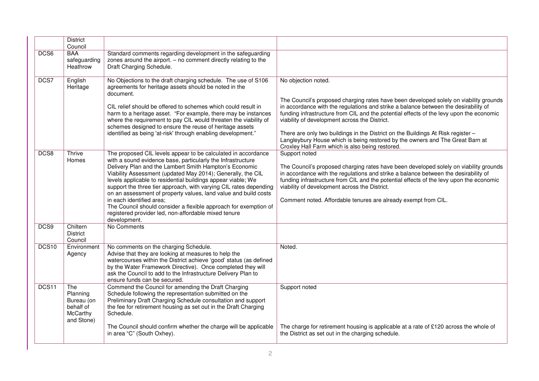|       | <b>District</b><br>Council                                           |                                                                                                                                                                                                                                                                                                                                                                                                                                                                                                                                                                                                                                       |                                                                                                                                                                                                                                                                                                                                                                                                                                                                                                                                                                         |
|-------|----------------------------------------------------------------------|---------------------------------------------------------------------------------------------------------------------------------------------------------------------------------------------------------------------------------------------------------------------------------------------------------------------------------------------------------------------------------------------------------------------------------------------------------------------------------------------------------------------------------------------------------------------------------------------------------------------------------------|-------------------------------------------------------------------------------------------------------------------------------------------------------------------------------------------------------------------------------------------------------------------------------------------------------------------------------------------------------------------------------------------------------------------------------------------------------------------------------------------------------------------------------------------------------------------------|
| DCS6  | <b>BAA</b><br>safeguarding<br>Heathrow                               | Standard comments regarding development in the safeguarding<br>zones around the airport. $-$ no comment directly relating to the<br>Draft Charging Schedule.                                                                                                                                                                                                                                                                                                                                                                                                                                                                          |                                                                                                                                                                                                                                                                                                                                                                                                                                                                                                                                                                         |
| DCS7  | English<br>Heritage                                                  | No Objections to the draft charging schedule. The use of S106<br>agreements for heritage assets should be noted in the<br>document.<br>CIL relief should be offered to schemes which could result in<br>harm to a heritage asset. "For example, there may be instances<br>where the requirement to pay CIL would threaten the viability of<br>schemes designed to ensure the reuse of heritage assets<br>identified as being 'at-risk' through enabling development."                                                                                                                                                                 | No objection noted.<br>The Council's proposed charging rates have been developed solely on viability grounds<br>in accordance with the regulations and strike a balance between the desirability of<br>funding infrastructure from CIL and the potential effects of the levy upon the economic<br>viability of development across the District.<br>There are only two buildings in the District on the Buildings At Risk register -<br>Langleybury House which is being restored by the owners and The Great Barn at<br>Croxley Hall Farm which is also being restored. |
| DCS8  | Thrive<br>Homes                                                      | The proposed CIL levels appear to be calculated in accordance<br>with a sound evidence base, particularly the Infrastructure<br>Delivery Plan and the Lambert Smith Hampton's Economic<br>Viability Assessment (updated May 2014); Generally, the CIL<br>levels applicable to residential buildings appear viable; We<br>support the three tier approach, with varying CIL rates depending<br>on an assessment of property values, land value and build costs<br>in each identified area;<br>The Council should consider a flexible approach for exemption of<br>registered provider led, non-affordable mixed tenure<br>development. | Support noted<br>The Council's proposed charging rates have been developed solely on viability grounds<br>in accordance with the regulations and strike a balance between the desirability of<br>funding infrastructure from CIL and the potential effects of the levy upon the economic<br>viability of development across the District.<br>Comment noted. Affordable tenures are already exempt from CIL.                                                                                                                                                             |
| DCS9  | Chiltern<br><b>District</b><br>Council                               | No Comments                                                                                                                                                                                                                                                                                                                                                                                                                                                                                                                                                                                                                           |                                                                                                                                                                                                                                                                                                                                                                                                                                                                                                                                                                         |
| DCS10 | Environment<br>Agency                                                | No comments on the charging Schedule.<br>Advise that they are looking at measures to help the<br>watercourses within the District achieve 'good' status (as defined<br>by the Water Framework Directive). Once completed they will<br>ask the Council to add to the Infrastructure Delivery Plan to<br>ensure funds can be secured.                                                                                                                                                                                                                                                                                                   | Noted.                                                                                                                                                                                                                                                                                                                                                                                                                                                                                                                                                                  |
| DCS11 | The<br>Planning<br>Bureau (on<br>behalf of<br>McCarthy<br>and Stone) | Commend the Council for amending the Draft Charging<br>Schedule following the representation submitted on the<br>Preliminary Draft Charging Schedule consultation and support<br>the fee for retirement housing as set out in the Draft Charging<br>Schedule.<br>The Council should confirm whether the charge will be applicable                                                                                                                                                                                                                                                                                                     | Support noted<br>The charge for retirement housing is applicable at a rate of £120 across the whole of<br>the District as set out in the charging schedule.                                                                                                                                                                                                                                                                                                                                                                                                             |
|       |                                                                      | in area "C" (South Oxhey).                                                                                                                                                                                                                                                                                                                                                                                                                                                                                                                                                                                                            |                                                                                                                                                                                                                                                                                                                                                                                                                                                                                                                                                                         |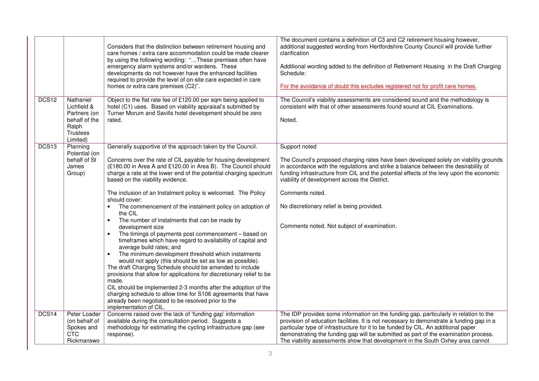|                   |                                                                                                   | Considers that the distinction between retirement housing and<br>care homes / extra care accommodation could be made clearer<br>by using the following wording: "These premises often have<br>emergency alarm systems and/or wardens. These<br>developments do not however have the enhanced facilities<br>required to provide the level of on-site care expected in care<br>homes or extra care premises (C2)".                                                                                                                                                                                                                                                                                                                                                                                                                                                                                                                                                                                                                                                                                                                                                                                                   | The document contains a definition of C3 and C2 retirement housing however,<br>additional suggested wording from Hertfordshire County Council will provide further<br>clarification<br>Additional wording added to the definition of Retirement Housing in the Draft Charging<br>Schedule:<br>For the avoidance of doubt this excludes registered not for profit care homes.                                                                              |
|-------------------|---------------------------------------------------------------------------------------------------|--------------------------------------------------------------------------------------------------------------------------------------------------------------------------------------------------------------------------------------------------------------------------------------------------------------------------------------------------------------------------------------------------------------------------------------------------------------------------------------------------------------------------------------------------------------------------------------------------------------------------------------------------------------------------------------------------------------------------------------------------------------------------------------------------------------------------------------------------------------------------------------------------------------------------------------------------------------------------------------------------------------------------------------------------------------------------------------------------------------------------------------------------------------------------------------------------------------------|-----------------------------------------------------------------------------------------------------------------------------------------------------------------------------------------------------------------------------------------------------------------------------------------------------------------------------------------------------------------------------------------------------------------------------------------------------------|
| DCS12             | Nathaniel<br>Lichfield &<br>Partners (on<br>behalf of the<br>Ralph<br><b>Trustees</b><br>Limited) | Object to the flat rate fee of £120.00 per sqm being applied to<br>hotel (C1) uses. Based on viability appraisal's submitted by<br>Turner Morum and Savills hotel development should be zero<br>rated.                                                                                                                                                                                                                                                                                                                                                                                                                                                                                                                                                                                                                                                                                                                                                                                                                                                                                                                                                                                                             | The Council's viability assessments are considered sound and the methodology is<br>consistent with that of other assessments found sound at CIL Examinations.<br>Noted.                                                                                                                                                                                                                                                                                   |
| DCS <sub>13</sub> | Planning<br>Potential (on<br>behalf of St<br>James<br>Group)                                      | Generally supportive of the approach taken by the Council.<br>Concerns over the rate of CIL payable for housing development<br>(£180.00 in Area A and £120.00 in Area B). The Council should<br>charge a rate at the lower end of the potential charging spectrum<br>based on the viability evidence.<br>The inclusion of an Instalment policy is welcomed. The Policy<br>should cover:<br>The commencement of the instalment policy on adoption of<br>$\bullet$<br>the CIL<br>The number of instalments that can be made by<br>$\bullet$<br>development size<br>The timings of payments post commencement - based on<br>timeframes which have regard to availability of capital and<br>average build rates; and<br>The minimum development threshold which instalments<br>$\bullet$<br>would not apply (this should be set as low as possible).<br>The draft Charging Schedule should be amended to include<br>provisions that allow for applications for discretionary relief to be<br>made.<br>CIL should be implemented 2-3 months after the adoption of the<br>charging schedule to allow time for S106 agreements that have<br>already been negotiated to be resolved prior to the<br>implementation of CIL. | Support noted<br>The Council's proposed charging rates have been developed solely on viability grounds<br>in accordance with the regulations and strike a balance between the desirability of<br>funding infrastructure from CIL and the potential effects of the levy upon the economic<br>viability of development across the District.<br>Comments noted.<br>No discretionary relief is being provided.<br>Comments noted. Not subject of examination. |
| DCS14             | Peter Loader<br>(on behalf of<br>Spokes and<br><b>CTC</b><br>Rickmanswo                           | Concerns raised over the lack of 'funding gap' information<br>available during the consultation period. Suggests a<br>methodology for estimating the cycling infrastructure gap (see<br>response).                                                                                                                                                                                                                                                                                                                                                                                                                                                                                                                                                                                                                                                                                                                                                                                                                                                                                                                                                                                                                 | The IDP provides some information on the funding gap, particularly in relation to the<br>provision of education facilities. It is not necessary to demonstrate a funding gap in a<br>particular type of infrastructure for it to be funded by CIL. An additional paper<br>demonstrating the funding gap will be submitted as part of the examination process.<br>The viability assessments show that development in the South Oxhey area cannot           |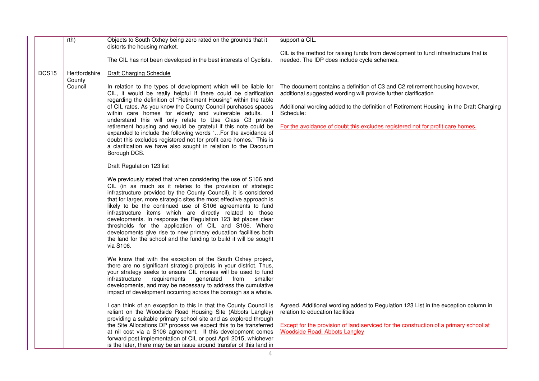|       | rth)                               | Objects to South Oxhey being zero rated on the grounds that it<br>distorts the housing market.                                                                                                                                                                                                                                                                                                                                                                                                                                                                                                                                                                                                                                                          | support a CIL.                                                                                                                                                                                                                                                                                                                          |
|-------|------------------------------------|---------------------------------------------------------------------------------------------------------------------------------------------------------------------------------------------------------------------------------------------------------------------------------------------------------------------------------------------------------------------------------------------------------------------------------------------------------------------------------------------------------------------------------------------------------------------------------------------------------------------------------------------------------------------------------------------------------------------------------------------------------|-----------------------------------------------------------------------------------------------------------------------------------------------------------------------------------------------------------------------------------------------------------------------------------------------------------------------------------------|
|       |                                    | The CIL has not been developed in the best interests of Cyclists.                                                                                                                                                                                                                                                                                                                                                                                                                                                                                                                                                                                                                                                                                       | CIL is the method for raising funds from development to fund infrastructure that is<br>needed. The IDP does include cycle schemes.                                                                                                                                                                                                      |
| DCS15 | Hertfordshire<br>County<br>Council | Draft Charging Schedule<br>In relation to the types of development which will be liable for<br>CIL, it would be really helpful if there could be clarification<br>regarding the definition of "Retirement Housing" within the table<br>of CIL rates. As you know the County Council purchases spaces<br>within care homes for elderly and vulnerable adults.<br>understand this will only relate to Use Class C3 private<br>retirement housing and would be grateful if this note could be<br>expanded to include the following words "For the avoidance of<br>doubt this excludes registered not for profit care homes." This is<br>a clarification we have also sought in relation to the Dacorum<br>Borough DCS.<br><b>Draft Regulation 123 list</b> | The document contains a definition of C3 and C2 retirement housing however,<br>additional suggested wording will provide further clarification<br>Additional wording added to the definition of Retirement Housing in the Draft Charging<br>Schedule:<br>For the avoidance of doubt this excludes registered not for profit care homes. |
|       |                                    | We previously stated that when considering the use of S106 and<br>CIL (in as much as it relates to the provision of strategic<br>infrastructure provided by the County Council), it is considered<br>that for larger, more strategic sites the most effective approach is<br>likely to be the continued use of S106 agreements to fund<br>infrastructure items which are directly related to those<br>developments. In response the Regulation 123 list places clear<br>thresholds for the application of CIL and S106. Where<br>developments give rise to new primary education facilities both<br>the land for the school and the funding to build it will be sought<br>via S106.                                                                     |                                                                                                                                                                                                                                                                                                                                         |
|       |                                    | We know that with the exception of the South Oxhey project,<br>there are no significant strategic projects in your district. Thus,<br>your strategy seeks to ensure CIL monies will be used to fund<br>infrastructure<br>requirements<br>generated<br>from<br>smaller<br>developments, and may be necessary to address the cumulative<br>impact of development occurring across the borough as a whole.                                                                                                                                                                                                                                                                                                                                                 |                                                                                                                                                                                                                                                                                                                                         |
|       |                                    | I can think of an exception to this in that the County Council is<br>reliant on the Woodside Road Housing Site (Abbots Langley)<br>providing a suitable primary school site and as explored through<br>the Site Allocations DP process we expect this to be transferred<br>at nil cost via a S106 agreement. If this development comes<br>forward post implementation of CIL or post April 2015, whichever<br>is the later, there may be an issue around transfer of this land in                                                                                                                                                                                                                                                                       | Agreed. Additional wording added to Regulation 123 List in the exception column in<br>relation to education facilities<br>Except for the provision of land serviced for the construction of a primary school at<br><b>Woodside Road, Abbots Langley</b>                                                                                 |